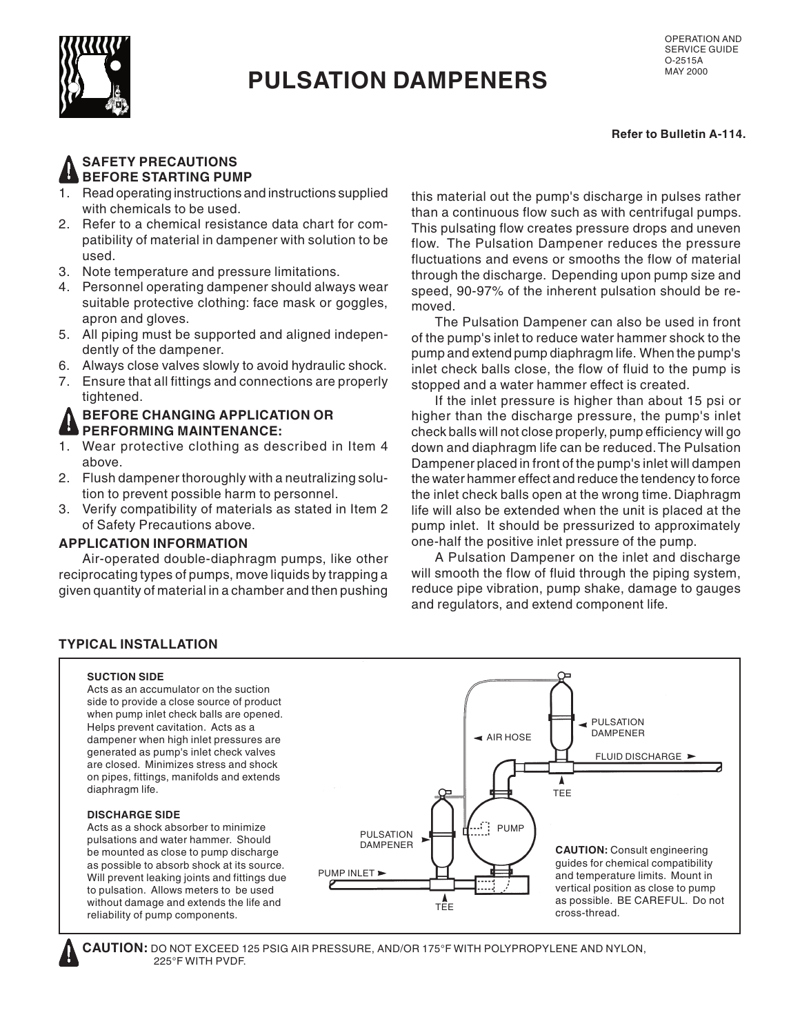

# **PULSATION DAMPENERS**

**Refer to Bulletin A-114.**

## **SAFETY PRECAUTIONS BEFORE STARTING PUMP**

- 1. Read operating instructions and instructions supplied with chemicals to be used.
- 2. Refer to a chemical resistance data chart for compatibility of material in dampener with solution to be used.
- 3. Note temperature and pressure limitations.
- 4. Personnel operating dampener should always wear suitable protective clothing: face mask or goggles, apron and gloves.
- 5. All piping must be supported and aligned independently of the dampener.
- 6. Always close valves slowly to avoid hydraulic shock.
- 7. Ensure that all fittings and connections are properly tightened.

#### **BEFORE CHANGING APPLICATION OR ED PERFORMING MAINTENANCE:**

- 1. Wear protective clothing as described in Item 4 above.
- 2. Flush dampener thoroughly with a neutralizing solution to prevent possible harm to personnel.
- 3. Verify compatibility of materials as stated in Item 2 of Safety Precautions above.

## **APPLICATION INFORMATION**

 Air-operated double-diaphragm pumps, like other reciprocating types of pumps, move liquids by trapping a given quantity of material in a chamber and then pushing

this material out the pump's discharge in pulses rather than a continuous flow such as with centrifugal pumps. This pulsating flow creates pressure drops and uneven flow. The Pulsation Dampener reduces the pressure fluctuations and evens or smooths the flow of material through the discharge. Depending upon pump size and speed, 90-97% of the inherent pulsation should be removed.

 The Pulsation Dampener can also be used in front of the pump's inlet to reduce water hammer shock to the pump and extend pump diaphragm life. When the pump's inlet check balls close, the flow of fluid to the pump is stopped and a water hammer effect is created.

 If the inlet pressure is higher than about 15 psi or higher than the discharge pressure, the pump's inlet check balls will not close properly, pump efficiency will go down and diaphragm life can be reduced. The Pulsation Dampener placed in front of the pump's inlet will dampen the water hammer effect and reduce the tendency to force the inlet check balls open at the wrong time. Diaphragm life will also be extended when the unit is placed at the pump inlet. It should be pressurized to approximately one-half the positive inlet pressure of the pump.

 A Pulsation Dampener on the inlet and discharge will smooth the flow of fluid through the piping system, reduce pipe vibration, pump shake, damage to gauges and regulators, and extend component life.

## **TYPICAL INSTALLATION**

#### **SUCTION SIDE**

Acts as an accumulator on the suction side to provide a close source of product when pump inlet check balls are opened. Helps prevent cavitation. Acts as a dampener when high inlet pressures are generated as pump's inlet check valves are closed. Minimizes stress and shock on pipes, fittings, manifolds and extends diaphragm life.

#### **DISCHARGE SIDE**

Acts as a shock absorber to minimize pulsations and water hammer. Should be mounted as close to pump discharge as possible to absorb shock at its source. Will prevent leaking joints and fittings due to pulsation. Allows meters to be used without damage and extends the life and reliability of pump components.



 **CAUTION:** DO NOT EXCEED 125 PSIG AIR PRESSURE, AND/OR 175°F WITH POLYPROPYLENE AND NYLON, 225°F WITH PVDF.